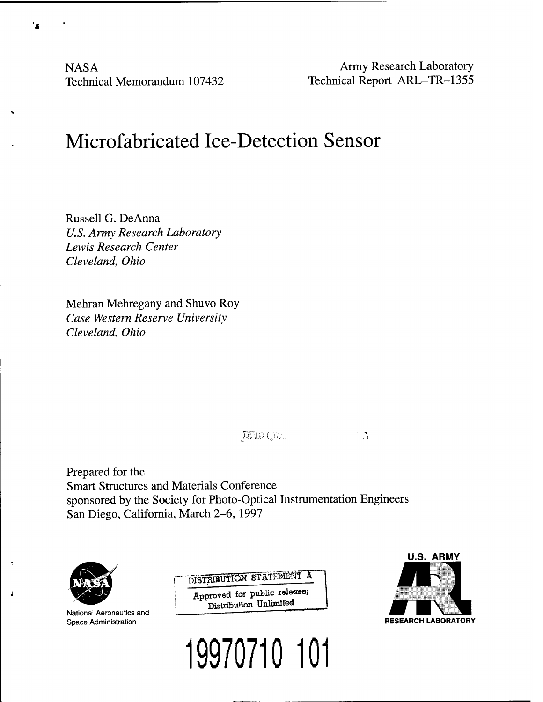**NASA** Technical Memorandum 107432

Army Research Laboratory Technical Report ARL-TR-1355

# Microfabricated Ice-Detection Sensor

Russell G. DeAnna *U.S. Army Research Laboratory Lewis Research Center Cleveland, Ohio*

Mehran Mehregany and Shuvo Roy *Case Western Reserve University Cleveland, Ohio*

jmocju--,....... *' ?i*

Prepared for the Smart Structures and Materials Conference sponsored by the Society for Photo-Optical Instrumentation Engineers San Diego, California, March 2-6, 1997



National Aeronautics and Space Administration

DISTRIBUTION STATEMENT A Approved tor public release; Distribution Unlimited



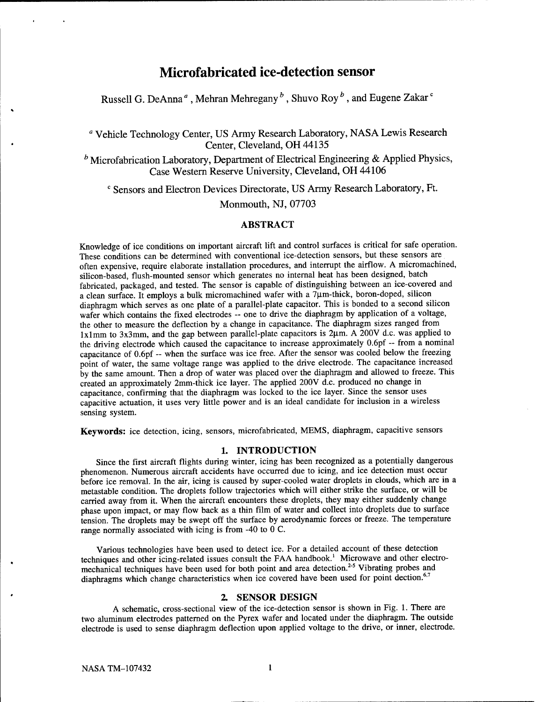# **Microfabricated ice-detection sensor**

Russell G. DeAnna<sup>a</sup>, Mehran Mehregany  $^b$  , Shuvo Roy  $^b$  , and Eugene Zakar  $^{\circ}$ 

*<sup>a</sup>* Vehicle Technology Center, US Army Research Laboratory, NASA Lewis Research Center, Cleveland, OH 44135

*<sup>b</sup>* Microfabrication Laboratory, Department of Electrical Engineering & Applied Physics, Case Western Reserve University, Cleveland, OH 44106

<sup>c</sup> Sensors and Electron Devices Directorate, US Army Research Laboratory, Ft.

Monmouth, NJ, 07703

# ABSTRACT

Knowledge of ice conditions on important aircraft lift and control surfaces is critical for safe operation. These conditions can be determined with conventional ice-detection sensors, but these sensors are often expensive, require elaborate installation procedures, and interrupt the airflow. A micromachined, silicon-based, flush-mounted sensor which generates no internal heat has been designed, batch fabricated, packaged, and tested. The sensor is capable of distinguishing between an ice-covered and a clean surface. It employs a bulk micromachined wafer with a 7um-thick, boron-doped, silicon diaphragm which serves as one plate of a parallel-plate capacitor. This is bonded to a second silicon wafer which contains the fixed electrodes -- one to drive the diaphragm by application of a voltage, the other to measure the deflection by a change in capacitance. The diaphragm sizes ranged from  $lx1mm$  to 3x3mm, and the gap between parallel-plate capacitors is  $2\mu m$ . A 200V d.c. was applied to the driving electrode which caused the capacitance to increase approximately 0.6pf - from <sup>a</sup> nominal capacitance of 0.6pf - when the surface was ice free. After the sensor was cooled below the freezing point of water, the same voltage range was applied to the drive electrode. The capacitance increased by the same amount. Then a drop of water was placed over the diaphragm and allowed to freeze. This created an approximately 2mm-thick ice layer. The applied 200V d.c. produced no change in capacitance, confirming that the diaphragm was locked to the ice layer. Since the sensor uses capacitive actuation, it uses very little power and is an ideal candidate for inclusion in a wireless sensing system.

**Keywords:** ice detection, icing, sensors, microfabricated, MEMS, diaphragm, capacitive sensors

#### **1. INTRODUCTION**

Since the first aircraft flights during winter, icing has been recognized as a potentially dangerous phenomenon. Numerous aircraft accidents have occurred due to icing, and ice detection must occur before ice removal. In the air, icing is caused by super-cooled water droplets in clouds, which are in a metastable condition. The droplets follow trajectories which will either strike the surface, or will be carried away from it. When the aircraft encounters these droplets, they may either suddenly change phase upon impact, or may flow back as a thin film of water and collect into droplets due to surface tension. The droplets may be swept off the surface by aerodynamic forces or freeze. The temperature range normally associated with icing is from -40 to 0 C.

Various technologies have been used to detect ice. For a detailed account of these detection techniques and other icing-related issues consult the FAA handbook.<sup>1</sup> Microwave and other electromechanical techniques have been used for both point and area detection.<sup>2-5</sup> Vibrating probes and diaphragms which change characteristics when ice covered have been used for point dection.<sup>6,7</sup>

# **2. SENSOR DESIGN**

A schematic, cross-sectional view of the ice-detection sensor is shown in Fig. 1. There are two aluminum electrodes patterned on the Pyrex wafer and located under the diaphragm. The outside electrode is used to sense diaphragm deflection upon applied voltage to the drive, or inner, electrode.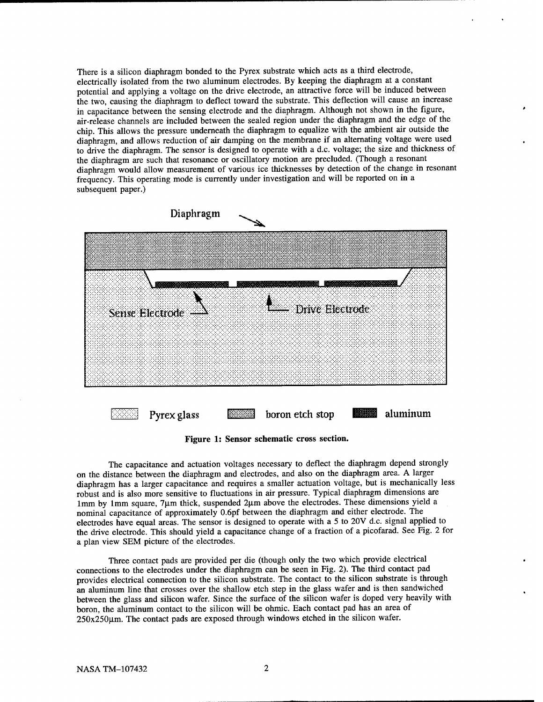There is a silicon diaphragm bonded to the Pyrex substrate which acts as a third electrode, electrically isolated from the two aluminum electrodes. By keeping the diaphragm at a constant potential and applying a voltage on the drive electrode, an attractive force will be induced between the two, causing the diaphragm to deflect toward the substrate. This deflection will cause an increase in capacitance between the sensing electrode and the diaphragm. Although not shown in the figure, air-release channels are included between the sealed region under the diaphragm and the edge of the chip. This allows the pressure underneath the diaphragm to equalize with the ambient air outside the diaphragm, and allows reduction of air damping on the membrane if an alternating voltage were used to drive the diaphragm. The sensor is designed to operate with a d.c. voltage; the size and thickness of the diaphragm are such that resonance or oscillatory motion are precluded. (Though a resonant diaphragm would allow measurement of various ice thicknesses by detection of the change in resonant frequency. This operating mode is currently under investigation and will be reported on in a subsequent paper.)



**Figure 1: Sensor schematic cross section.**

The capacitance and actuation voltages necessary to deflect the diaphragm depend strongly on the distance between the diaphragm and electrodes, and also on the diaphragm area. A larger diaphragm has a larger capacitance and requires a smaller actuation voltage, but is mechanically less robust and is also more sensitive to fluctuations in air pressure. Typical diaphragm dimensions are lmm by 1mm square, 7µm thick, suspended 2µm above the electrodes. These dimensions yield a nominal capacitance of approximately 0.6pf between the diaphragm and either electrode. The electrodes have equal areas. The sensor is designed to operate with a 5 to 20V d.c. signal applied to the drive electrode. This should yield a capacitance change of a fraction of a picofarad. See Fig. 2 for a plan view SEM picture of the electrodes.

Three contact pads are provided per die (though only the two which provide electrical connections to the electrodes under the diaphragm can be seen in Fig. 2). The third contact pad provides electrical connection to the silicon substrate. The contact to the silicon substrate is through an aluminum line that crosses over the shallow etch step in the glass wafer and is then sandwiched between the glass and silicon wafer. Since the surface of the silicon wafer is doped very heavily with boron, the aluminum contact to the silicon will be ohmic. Each contact pad has an area of  $250x250\mu$ m. The contact pads are exposed through windows etched in the silicon wafer.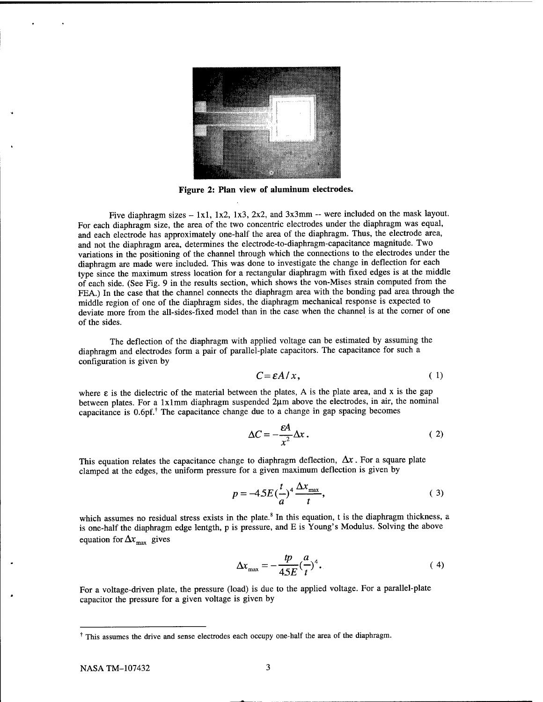

**Figure 2: Plan view of aluminum electrodes.**

Five diaphragm sizes - 1x1, 1x2, 1x3, 2x2, and 3x3mm -- were included on the mask layout. For each diaphragm size, the area of the two concentric electrodes under the diaphragm was equal, and each electrode has approximately one-half the area of the diaphragm. Thus, the electrode area, and not the diaphragm area, determines the electrode-to-diaphragm-capacitance magnitude. Two variations in the positioning of the channel through which the connections to the electrodes under the diaphragm are made were included. This was done to investigate the change in deflection for each type since the maximum stress location for a rectangular diaphragm with fixed edges is at the middle of each side. (See Fig. 9 in the results section, which shows the von-Mises strain computed from the FEA.) In the case that the channel connects the diaphragm area with the bonding pad area through the middle region of one of the diaphragm sides, the diaphragm mechanical response is expected to deviate more from the all-sides-fixed model than in the case when the channel is at the corner of one of the sides.

The deflection of the diaphragm with applied voltage can be estimated by assuming the diaphragm and electrodes form a pair of parallel-plate capacitors. The capacitance for such a configuration is given by

$$
C = \varepsilon A / x, \tag{1}
$$

where  $\varepsilon$  is the dielectric of the material between the plates, A is the plate area, and x is the gap between plates. For a 1x1mm diaphragm suspended  $2\mu$ m above the electrodes, in air, the nominal capacitance is  $0.6$ pf.<sup>†</sup> The capacitance change due to a change in gap spacing becomes

$$
\Delta C = -\frac{\varepsilon A}{x^2} \Delta x \,. \tag{2}
$$

This equation relates the capacitance change to diaphragm deflection,  $\Delta x$ . For a square plate clamped at the edges, the uniform pressure for a given maximum deflection is given by

$$
p = -4.5E\left(\frac{t}{a}\right)^4 \frac{\Delta x_{\text{max}}}{t},\tag{3}
$$

which assumes no residual stress exists in the plate. $8$  In this equation, t is the diaphragm thickness, a is one-half the diaphragm edge lentgth, p is pressure, and E is Young's Modulus. Solving the above equation for  $\Delta x_{\text{max}}$  gives

$$
\Delta x_{\text{max}} = -\frac{tp}{45E} \left(\frac{a}{t}\right)^4. \tag{4}
$$

For a voltage-driven plate, the pressure (load) is due to the applied voltage. For a parallel-plate capacitor the pressure for a given voltage is given by

This assumes the drive and sense electrodes each occupy one-half the area of the diaphragm.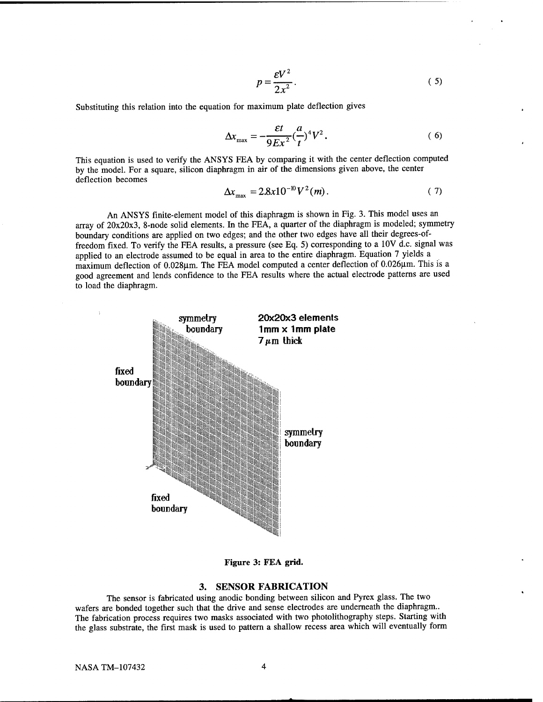$$
p = \frac{\varepsilon V^2}{2x^2}.
$$
 (5)

Substituting this relation into the equation for maximum plate deflection gives

$$
\Delta x_{\text{max}} = -\frac{\varepsilon t}{9Ex^2} \left(\frac{a}{t}\right)^4 V^2. \tag{6}
$$

This equation is used to verify the ANSYS FEA by comparing it with the center deflection computed by the model. For a square, silicon diaphragm in air of the dimensions given above, the center deflection becomes

$$
\Delta x_{\text{max}} = 2.8x10^{-10} V^2(m). \tag{7}
$$

An ANSYS finite-element model of this diaphragm is shown in Fig. 3. This model uses an array of 20x20x3, 8-node solid elements. In the FEA, a quarter of the diaphragm is modeled; symmetry boundary conditions are applied on two edges; and the other two edges have all their degrees-offreedom fixed. To verify the FEA results, a pressure (see Eq. 5) corresponding to a 10V d.c. signal was applied to an electrode assumed to be equal in area to the entire diaphragm. Equation 7 yields a maximum deflection of 0.028um. The FEA model computed a center deflection of 0.026um. This is a good agreement and lends confidence to the FEA results where the actual electrode patterns are used to load the diaphragm.



**Figure 3: FEA grid.**

## **3. SENSOR FABRICATION**

The sensor is fabricated using anodic bonding between silicon and Pyrex glass. The two wafers are bonded together such that the drive and sense electrodes are underneath the diaphragm.. The fabrication process requires two masks associated with two photolithography steps. Starting with the glass substrate, the first mask is used to pattern a shallow recess area which will eventually form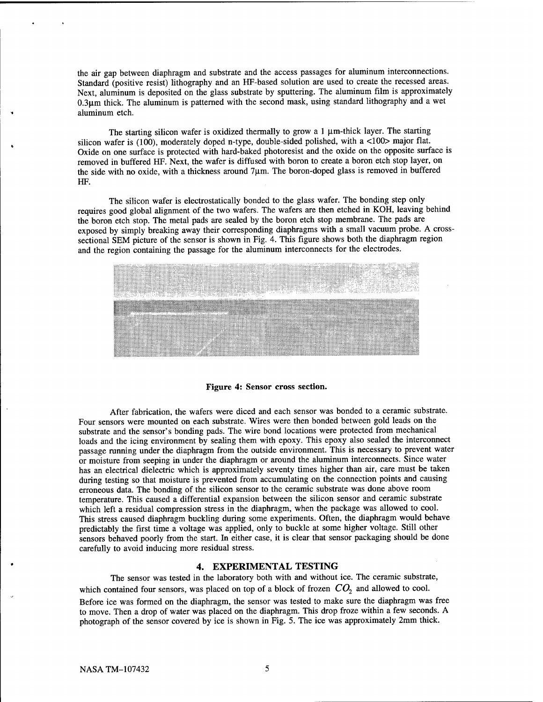the air gap between diaphragm and substrate and the access passages for aluminum interconnections. Standard (positive resist) lithography and an HF-based solution are used to create the recessed areas. Next, aluminum is deposited on the glass substrate by sputtering. The aluminum film is approximately  $0.3\mu$ m thick. The aluminum is patterned with the second mask, using standard lithography and a wet aluminum etch.

The starting silicon wafer is oxidized thermally to grow a  $1 \mu$ m-thick layer. The starting silicon wafer is (100), moderately doped n-type, double-sided polished, with a <100> major flat. Oxide on one surface is protected with hard-baked photoresist and the oxide on the opposite surface is removed in buffered HF. Next, the wafer is diffused with boron to create a boron etch stop layer, on the side with no oxide, with a thickness around 7um. The boron-doped glass is removed in buffered HF.

The silicon wafer is electrostatically bonded to the glass wafer. The bonding step only requires good global alignment of the two wafers. The wafers are then etched in KOH, leaving behind the boron etch stop. The metal pads are sealed by the boron etch stop membrane. The pads are exposed by simply breaking away their corresponding diaphragms with a small vacuum probe. A crosssectional SEM picture of the sensor is shown in Fig. 4. This figure shows both the diaphragm region and the region containing the passage for the aluminum interconnects for the electrodes.

| <u> Tantara (Barat da Barat) a</u>                                                                                                                                         | ,,,,,,,,,,,,,,,,,,,,,,,,,,,,,, | eggen A.S. 179<br>989 IST<br>wasan 2019<br>emat | tin 1998.<br>Sanara<br>unang Su |
|----------------------------------------------------------------------------------------------------------------------------------------------------------------------------|--------------------------------|-------------------------------------------------|---------------------------------|
| a maana maramma maramma maramma maramma maramma maramma.<br>Tarixin a maramma maramma maramma maramma maramma maramma maramma maramma maramma maramma maramma maramma mara |                                |                                                 |                                 |
|                                                                                                                                                                            |                                |                                                 |                                 |

#### **Figure 4: Sensor cross section.**

After fabrication, the wafers were diced and each sensor was bonded to a ceramic substrate. Four sensors were mounted on each substrate. Wires were then bonded between gold leads on the substrate and the sensor's bonding pads. The wire bond locations were protected from mechanical loads and the icing environment by sealing them with epoxy. This epoxy also sealed the interconnect passage running under the diaphragm from the outside environment. This is necessary to prevent water or moisture from seeping in under the diaphragm or around the aluminum interconnects. Since water has an electrical dielectric which is approximately seventy times higher than air, care must be taken during testing so that moisture is prevented from accumulating on the connection points and causing erroneous data. The bonding of the silicon sensor to the ceramic substrate was done above room temperature. This caused a differential expansion between the silicon sensor and ceramic substrate which left a residual compression stress in the diaphragm, when the package was allowed to cool. This stress caused diaphragm buckling during some experiments. Often, the diaphragm would behave predictably the first time a voltage was applied, only to buckle at some higher voltage. Still other sensors behaved poorly from the start. In either case, it is clear that sensor packaging should be done carefully to avoid inducing more residual stress.

## **4. EXPERIMENTAL TESTING**

The sensor was tested in the laboratory both with and without ice. The ceramic substrate, which contained four sensors, was placed on top of a block of frozen  $CO<sub>2</sub>$  and allowed to cool. Before ice was formed on the diaphragm, the sensor was tested to make sure the diaphragm was free to move. Then a drop of water was placed on the diaphragm. This drop froze within a few seconds. A photograph of the sensor covered by ice is shown in Fig. 5. The ice was approximately 2mm thick.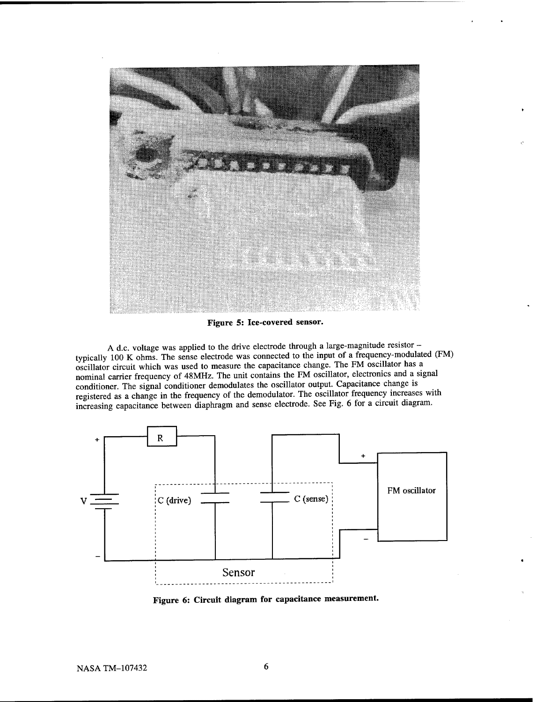

**Figure 5: Ice-covered sensor.**

<sup>A</sup> d.c. voltage was applied to the drive electrode through <sup>a</sup> large-magnitude resistor typically 100 K ohms. The sense electrode was connected to the input of a frequency-modulated (FM) oscillator circuit which was used to measure the capacitance change. The FM oscillator has a nominal carrier frequency of 48MHz. The unit contains the FM oscillator, electronics and a signal conditioner. The signal conditioner demodulates the oscillator output. Capacitance change is registered as a change in the frequency of the demodulator. The oscillator frequency increases with increasing capacitance between diaphragm and sense electrode. See Fig. 6 for a circuit diagram.



**Figure 6: Circuit diagram for capacitance measurement.**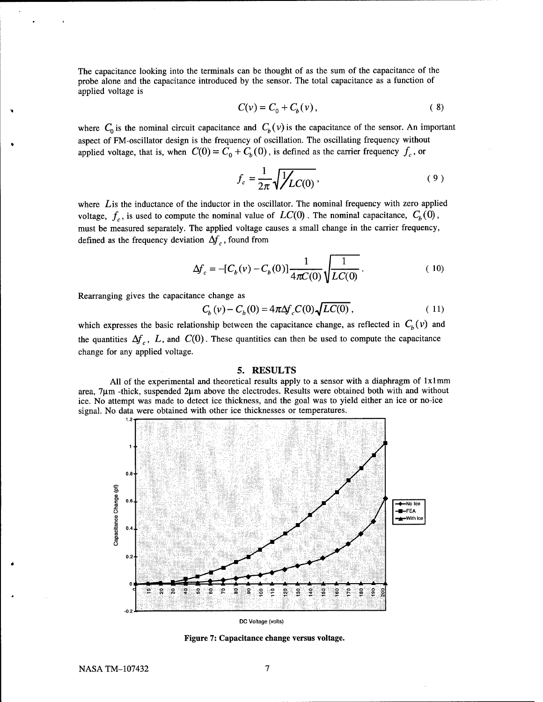The capacitance looking into the terminals can be thought of as the sum of the capacitance of the probe alone and the capacitance introduced by the sensor. The total capacitance as a function of applied voltage is

$$
C(v) = C_0 + C_b(v), \qquad (8)
$$

where  $C_0$  is the nominal circuit capacitance and  $C_b(v)$  is the capacitance of the sensor. An important aspect of FM-oscillator design is the frequency of oscillation. The oscillating frequency without applied voltage, that is, when  $C(0) = C_0 + C_b(0)$ , is defined as the carrier frequency  $f_c$ , or

$$
f_c = \frac{1}{2\pi} \sqrt{\frac{1}{LC(0)}},\tag{9}
$$

where Lis the inductance of the inductor in the oscillator. The nominal frequency with zero applied voltage,  $f_c$ , is used to compute the nominal value of  $LC(0)$ . The nominal capacitance,  $C_b(0)$ , must be measured separately. The applied voltage causes a small change in the carrier frequency, defined as the frequency deviation  $\Delta f_c$ , found from

$$
\Delta f_c = -[C_b(v) - C_b(0)] \frac{1}{4\pi C(0)} \sqrt{\frac{1}{LC(0)}}.
$$
 (10)

Rearranging gives the capacitance change as

$$
C_b(v) - C_b(0) = 4\pi \Delta f_c C(0) \sqrt{LC(0)},
$$
\n(11)

which expresses the basic relationship between the capacitance change, as reflected in  $C_b(v)$  and the quantities  $\Delta f_c$ , *L*, and  $C(0)$ . These quantities can then be used to compute the capacitance change for any applied voltage.

#### **5. RESULTS**

All of the experimental and theoretical results apply to a sensor with a diaphragm of  $1x1mm$ area, 7um -thick, suspended 2um above the electrodes. Results were obtained both with and without ice. No attempt was made to detect ice thickness, and the goal was to yield either an ice or no-ice signal. No data were obtained with other ice thicknesses or temperatures.



DC Voltage (volts)

**Figure 7: Capacitance change versus voltage.**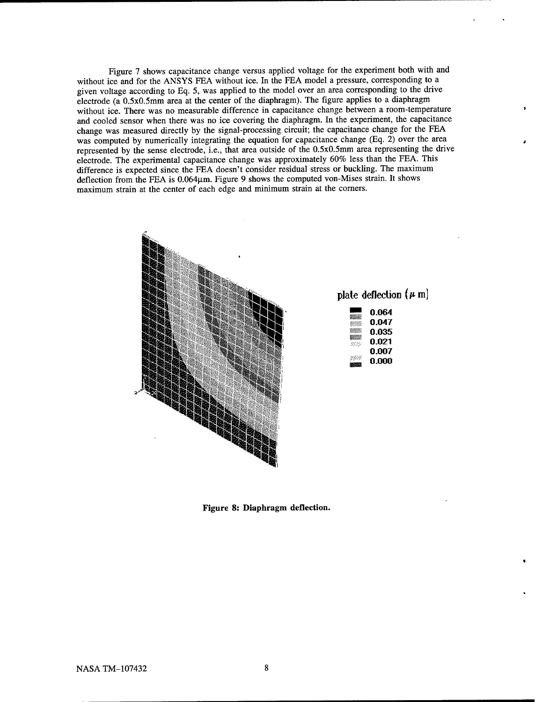Figure 7 shows capacitance change versus applied voltage for the experiment both with and without ice and for the ANSYS FEA without ice. In the FEA model a pressure, corresponding to a given voltage according to Eq. 5, was applied to the model over an area corresponding to the drive electrode ( $a$  0.5x0.5mm area at the center of the diaphragm). The figure applies to a diaphragm without ice. There was no measurable difference in capacitance change between a room-temperature and cooled sensor when there was no ice covering the diaphragm. In the experiment, the capacitance change was measured directly by the signal-processing circuit; the capacitance change for the FEA was computed by numerically integrating the equation for capacitance change (Eq. 2) over the area represented by the sense electrode, i.e., that area outside of the 0.5x0.5mm area representing the drive electrode. The experimental capacitance change was approximately 60% less than the FEA. This difference is expected since the FEA doesn't consider residual stress or buckling. The maximum deflection from the FEA is  $0.064\mu$ m. Figure 9 shows the computed von-Mises strain. It shows maximum strain at the center of each edge and minimum strain at the corners.



**Figure 8: Diaphragm deflection.**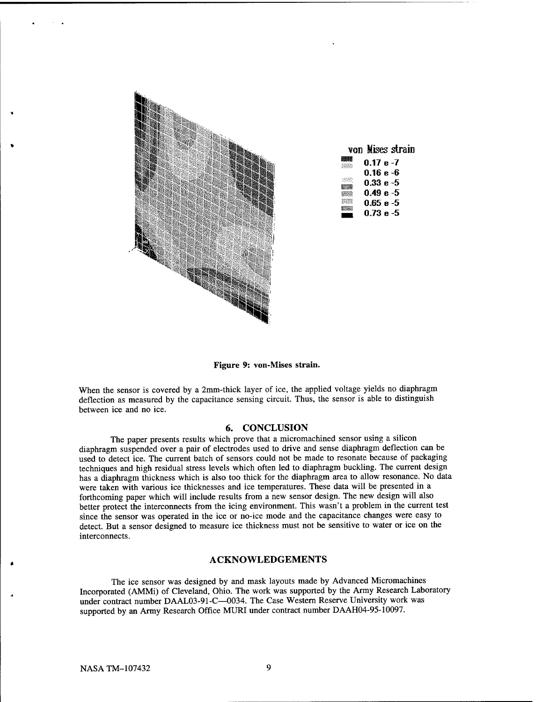

| von Mises strain |
|------------------|
| $0.17 e -7$      |
| $0.16e - 6$      |
| 0.33 e -5        |
| $0.49e - 5$      |
| $0.65 e - 5$     |
| 0.73 е -5        |

**Figure 9: von-Mises strain.**

When the sensor is covered by a 2mm-thick layer of ice, the applied voltage yields no diaphragm deflection as measured by the capacitance sensing circuit. Thus, the sensor is able to distinguish between ice and no ice.

#### **6. CONCLUSION**

The paper presents results which prove that a micromachined sensor using a silicon diaphragm suspended over a pair of electrodes used to drive and sense diaphragm deflection can be used to detect ice. The current batch of sensors could not be made to resonate because of packaging techniques and high residual stress levels which often led to diaphragm buckling. The current design has a diaphragm thickness which is also too thick for the diaphragm area to allow resonance. No data were taken with various ice thicknesses and ice temperatures. These data will be presented in a forthcoming paper which will include results from a new sensor design. The new design will also better protect the interconnects from the icing environment. This wasn't a problem in the current test since the sensor was operated in the ice or no-ice mode and the capacitance changes were easy to detect. But a sensor designed to measure ice thickness must not be sensitive to water or ice on the interconnects.

# **ACKNOWLEDGEMENTS**

The ice sensor was designed by and mask layouts made by Advanced Micromachines Incorporated (AMMi) of Cleveland, Ohio. The work was supported by the Army Research Laboratory under contract number DAAL03-91-C—0034. The Case Western Reserve University work was supported by an Army Research Office MURI under contract number DAAH04-95-10097.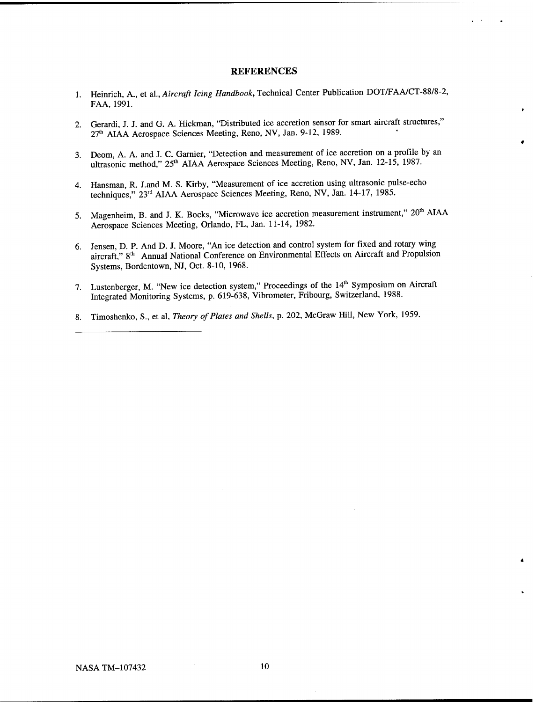#### REFERENCES

- 1. Heinrich, A., et al., *Aircraft Icing Handbook,* Technical Center Publication DOT/FAA/CT-88/8-2, FAA, 1991.
- 2. Gerardi, J. J. and G. A. Hickman, "Distributed ice accretion sensor for smart aircraft structures," 27th AIAA Aerospace Sciences Meeting, Reno, NV, Jan. 9-12, 1989.
- 3. Deom, A. A. and J. C. Gamier, "Detection and measurement of ice accretion on a profile by an ultrasonic method," 25<sup>th</sup> AIAA Aerospace Sciences Meeting, Reno, NV, Jan. 12-15, 1987.
- 4. Hansman, R. J.and M. S. Kirby, "Measurement of ice accretion using ultrasonic pulse-echo techniques," 23rd AIAA Aerospace Sciences Meeting, Reno, NV, Jan. 14-17, 1985.
- 5. Magenheim, B. and J. K. Bocks, "Microwave ice accretion measurement instrument," 20<sup>th</sup> AIAA Aerospace Sciences Meeting, Orlando, FL, Jan. 11-14, 1982.
- 6. Jensen, D. P. And D. J. Moore, "An ice detection and control system for fixed and rotary wing aircraft," 8<sup>th</sup> Annual National Conference on Environmental Effects on Aircraft and Propulsion Systems, Bordentown, NJ, Oct. 8-10, 1968.
- 7. Lustenberger, M. "New ice detection system," Proceedings of the 14<sup>th</sup> Symposium on Aircraft Integrated Monitoring Systems, p. 619-638, Vibrometer, Fribourg, Switzerland, 1988.
- 8. Timoshenko, S., et al, *Theory of Plates and Shells,* p. 202, McGraw Hill, New York, 1959.